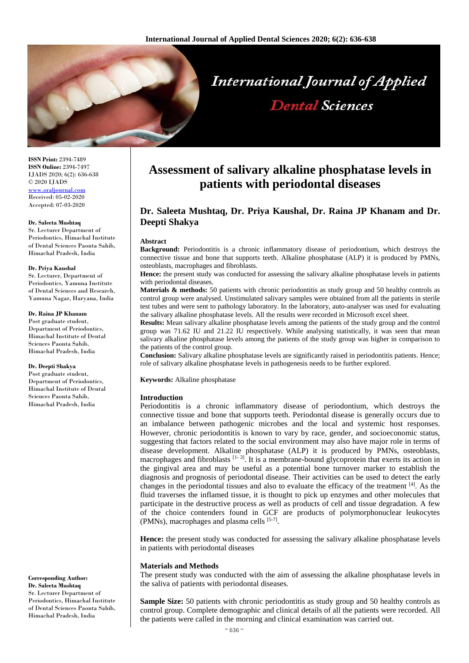

**ISSN Print:** 2394-7489 **ISSN Online:** 2394-7497 IJADS 2020; 6(2): 636-638 © 2020 IJADS [www.oraljournal.com](http://www.oraljournal.com/) Received: 05-02-2020 Accepted: 07-03-2020

#### **Dr. Saleeta Mushtaq**

Sr. Lecturer Department of Periodontics, Himachal Institute of Dental Sciences Paonta Sahib, Himachal Pradesh, India

#### **Dr. Priya Kaushal**

Sr. Lecturer, Department of Periodontics, Yamuna Institute of Dental Sciences and Research, Yamuna Nagar, Haryana, India

## **Dr. Raina JP Khanam**

Post graduate student. Department of Periodontics, Himachal Institute of Dental Sciences Paonta Sahib, Himachal Pradesh, India

### **Dr. Deepti Shakya**

Post graduate student. Department of Periodontics, Himachal Institute of Dental Sciences Paonta Sahib, Himachal Pradesh, India

#### **Corresponding Author: Dr. Saleeta Mushtaq**

Sr. Lecturer Department of Periodontics, Himachal Institute of Dental Sciences Paonta Sahib, Himachal Pradesh, India

# **Assessment of salivary alkaline phosphatase levels in patients with periodontal diseases**

# **Dr. Saleeta Mushtaq, Dr. Priya Kaushal, Dr. Raina JP Khanam and Dr. Deepti Shakya**

#### **Abstract**

**Background:** Periodontitis is a chronic inflammatory disease of periodontium, which destroys the connective tissue and bone that supports teeth. Alkaline phosphatase (ALP) it is produced by PMNs, osteoblasts, macrophages and fibroblasts.

**Hence:** the present study was conducted for assessing the salivary alkaline phosphatase levels in patients with periodontal diseases.

**Materials & methods:** 50 patients with chronic periodontitis as study group and 50 healthy controls as control group were analysed. Unstimulated salivary samples were obtained from all the patients in sterile test tubes and were sent to pathology laboratory. In the laboratory, auto-analyser was used for evaluating the salivary alkaline phosphatase levels. All the results were recorded in Microsoft excel sheet.

**Results:** Mean salivary alkaline phosphatase levels among the patients of the study group and the control group was 71.62 IU and 21.22 IU respectively. While analysing statistically, it was seen that mean salivary alkaline phosphatase levels among the patients of the study group was higher in comparison to the patients of the control group.

**Conclusion:** Salivary alkaline phosphatase levels are significantly raised in periodontitis patients. Hence; role of salivary alkaline phosphatase levels in pathogenesis needs to be further explored.

**Keywords:** Alkaline phosphatase

# **Introduction**

Periodontitis is a chronic inflammatory disease of periodontium, which destroys the connective tissue and bone that supports teeth. Periodontal disease is generally occurs due to an imbalance between pathogenic microbes and the local and systemic host responses. However, chronic periodontitis is known to vary by race, gender, and socioeconomic status, suggesting that factors related to the social environment may also have major role in terms of disease development. Alkaline phosphatase (ALP) it is produced by PMNs, osteoblasts, macrophages and fibroblasts  $[1-3]$ . It is a membrane-bound glycoprotein that exerts its action in the gingival area and may be useful as a potential bone turnover marker to establish the diagnosis and prognosis of periodontal disease. Their activities can be used to detect the early changes in the periodontal tissues and also to evaluate the efficacy of the treatment  $\left[4\right]$ . As the fluid traverses the inflamed tissue, it is thought to pick up enzymes and other molecules that participate in the destructive process as well as products of cell and tissue degradation. A few of the choice contenders found in GCF are products of polymorphonuclear leukocytes (PMNs), macrophages and plasma cells [5-7].

**Hence:** the present study was conducted for assessing the salivary alkaline phosphatase levels in patients with periodontal diseases

#### **Materials and Methods**

The present study was conducted with the aim of assessing the alkaline phosphatase levels in the saliva of patients with periodontal diseases.

**Sample Size:** 50 patients with chronic periodontitis as study group and 50 healthy controls as control group. Complete demographic and clinical details of all the patients were recorded. All the patients were called in the morning and clinical examination was carried out.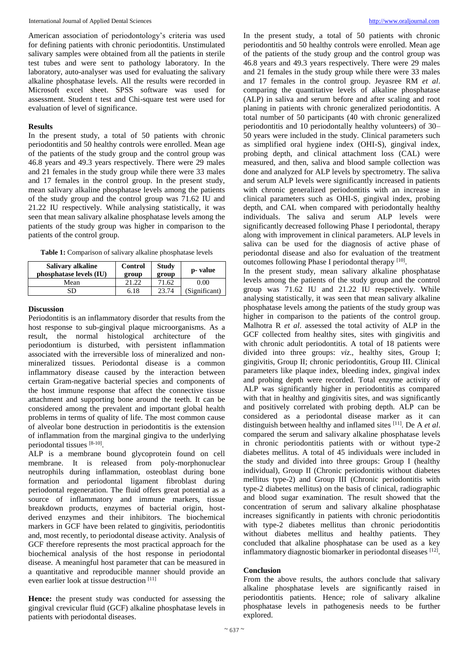International Journal of Applied Dental Sciences [http://www.oraljournal.com](http://www.oraljournal.com/)

American association of periodontology's criteria was used for defining patients with chronic periodontitis. Unstimulated salivary samples were obtained from all the patients in sterile test tubes and were sent to pathology laboratory. In the laboratory, auto-analyser was used for evaluating the salivary alkaline phosphatase levels. All the results were recorded in Microsoft excel sheet. SPSS software was used for assessment. Student t test and Chi-square test were used for evaluation of level of significance.

# **Results**

In the present study, a total of 50 patients with chronic periodontitis and 50 healthy controls were enrolled. Mean age of the patients of the study group and the control group was 46.8 years and 49.3 years respectively. There were 29 males and 21 females in the study group while there were 33 males and 17 females in the control group. In the present study, mean salivary alkaline phosphatase levels among the patients of the study group and the control group was 71.62 IU and 21.22 IU respectively. While analysing statistically, it was seen that mean salivary alkaline phosphatase levels among the patients of the study group was higher in comparison to the patients of the control group.

| Table 1: Comparison of salivary alkaline phosphatase levels |
|-------------------------------------------------------------|
|-------------------------------------------------------------|

| Salivary alkaline<br>phosphatase levels (IU) | Control<br>group | <b>Study</b><br>group | p- value      |
|----------------------------------------------|------------------|-----------------------|---------------|
| Mean                                         | 21.22            | 71.62                 | 0.00          |
| 3D                                           | 6.18             | 23.74                 | (Significant) |

# **Discussion**

Periodontitis is an inflammatory disorder that results from the host response to sub-gingival plaque microorganisms. As a result, the normal histological architecture of the periodontium is disturbed, with persistent inflammation associated with the irreversible loss of mineralized and nonmineralized tissues. Periodontal disease is a common inflammatory disease caused by the interaction between certain Gram-negative bacterial species and components of the host immune response that affect the connective tissue attachment and supporting bone around the teeth. It can be considered among the prevalent and important global health problems in terms of quality of life. The most common cause of alveolar bone destruction in periodontitis is the extension of inflammation from the marginal gingiva to the underlying periodontal tissues [8-10].

ALP is a membrane bound glycoprotein found on cell membrane. It is released from poly-morphonuclear neutrophils during inflammation, osteoblast during bone formation and periodontal ligament fibroblast during periodontal regeneration. The fluid offers great potential as a source of inflammatory and immune markers, tissue breakdown products, enzymes of bacterial origin, hostderived enzymes and their inhibitors. The biochemical markers in GCF have been related to gingivitis, periodontitis and, most recently, to periodontal disease activity. Analysis of GCF therefore represents the most practical approach for the biochemical analysis of the host response in periodontal disease. A meaningful host parameter that can be measured in a quantitative and reproducible manner should provide an even earlier look at tissue destruction [11]

**Hence:** the present study was conducted for assessing the gingival crevicular fluid (GCF) alkaline phosphatase levels in patients with periodontal diseases.

In the present study, a total of 50 patients with chronic periodontitis and 50 healthy controls were enrolled. Mean age of the patients of the study group and the control group was 46.8 years and 49.3 years respectively. There were 29 males and 21 females in the study group while there were 33 males and 17 females in the control group. Jeyasree RM *et al*. comparing the quantitative levels of alkaline phosphatase (ALP) in saliva and serum before and after scaling and root planing in patients with chronic generalized periodontitis. A total number of 50 participants (40 with chronic generalized periodontitis and 10 periodontally healthy volunteers) of 30– 50 years were included in the study. Clinical parameters such as simplified oral hygiene index (OHI-S), gingival index, probing depth, and clinical attachment loss (CAL) were measured, and then, saliva and blood sample collection was done and analyzed for ALP levels by spectrometry. The saliva and serum ALP levels were significantly increased in patients with chronic generalized periodontitis with an increase in clinical parameters such as OHI-S, gingival index, probing depth, and CAL when compared with periodontally healthy individuals. The saliva and serum ALP levels were significantly decreased following Phase I periodontal, therapy along with improvement in clinical parameters. ALP levels in saliva can be used for the diagnosis of active phase of periodontal disease and also for evaluation of the treatment outcomes following Phase I periodontal therapy [10].

In the present study, mean salivary alkaline phosphatase levels among the patients of the study group and the control group was 71.62 IU and 21.22 IU respectively. While analysing statistically, it was seen that mean salivary alkaline phosphatase levels among the patients of the study group was higher in comparison to the patients of the control group. Malhotra R *et al*. assessed the total activity of ALP in the GCF collected from healthy sites, sites with gingivitis and with chronic adult periodontitis. A total of 18 patients were divided into three groups: *viz*., healthy sites, Group I; gingivitis, Group II; chronic periodontitis, Group III. Clinical parameters like plaque index, bleeding index, gingival index and probing depth were recorded. Total enzyme activity of ALP was significantly higher in periodontitis as compared with that in healthy and gingivitis sites, and was significantly and positively correlated with probing depth. ALP can be considered as a periodontal disease marker as it can distinguish between healthy and inflamed sites [11] . De A *et al*. compared the serum and salivary alkaline phosphatase levels in chronic periodontitis patients with or without type-2 diabetes mellitus. A total of 45 individuals were included in the study and divided into three groups: Group I (healthy individual), Group II (Chronic periodontitis without diabetes mellitus type-2) and Group III (Chronic periodontitis with type-2 diabetes mellitus) on the basis of clinical, radiographic and blood sugar examination. The result showed that the concentration of serum and salivary alkaline phosphatase increases significantly in patients with chronic periodontitis with type-2 diabetes mellitus than chronic periodontitis without diabetes mellitus and healthy patients. They concluded that alkaline phosphatase can be used as a key inflammatory diagnostic biomarker in periodontal diseases [12].

# **Conclusion**

From the above results, the authors conclude that salivary alkaline phosphatase levels are significantly raised in periodontitis patients. Hence; role of salivary alkaline phosphatase levels in pathogenesis needs to be further explored.